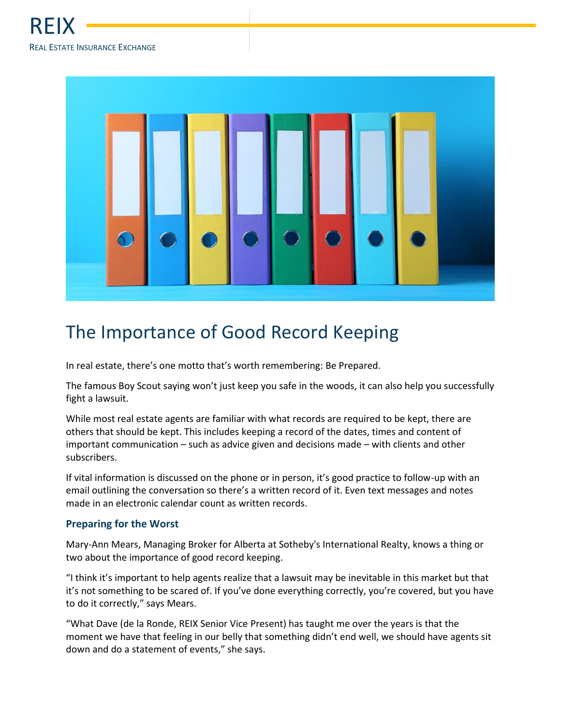

## The Importance of Good Record Keeping

In real estate, there's one motto that's worth remembering: Be Prepared.

The famous Boy Scout saying won't just keep you safe in the woods, it can also help you successfully fight a lawsuit.

While most real estate agents are familiar with what records are required to be kept, there are others that should be kept. This includes keeping a record of the dates, times and content of important communication – such as advice given and decisions made – with clients and other subscribers.

If vital information is discussed on the phone or in person, it's good practice to follow-up with an email outlining the conversation so there's a written record of it. Even text messages and notes made in an electronic calendar count as written records.

## **Preparing for the Worst**

Mary-Ann Mears, Managing Broker for Alberta at Sotheby's International Realty, knows a thing or two about the importance of good record keeping.

"I think it's important to help agents realize that a lawsuit may be inevitable in this market but that it's not something to be scared of. If you've done everything correctly, you're covered, but you have to do it correctly," says Mears.

"What Dave (de la Ronde, REIX Senior Vice Present) has taught me over the years is that the moment we have that feeling in our belly that something didn't end well, we should have agents sit down and do a statement of events," she says.